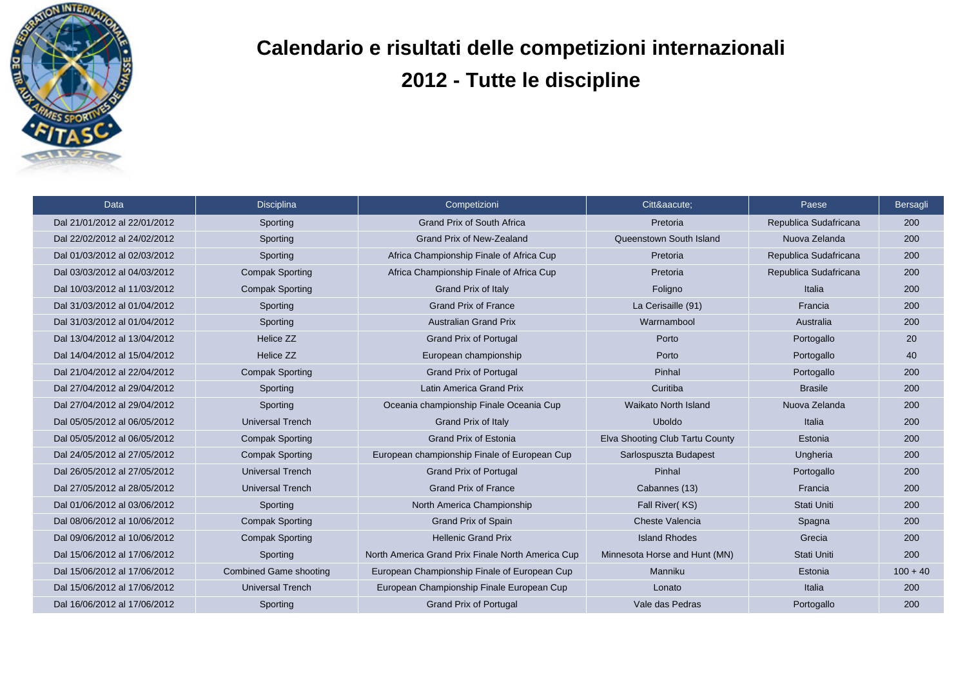

## **Calendario e risultati delle competizioni internazionali 2012 - Tutte le discipline**

| Data                         | Disciplina                    | Competizioni                                      | Cittá:                          | Paese                 | Bersagli   |
|------------------------------|-------------------------------|---------------------------------------------------|---------------------------------|-----------------------|------------|
| Dal 21/01/2012 al 22/01/2012 | Sporting                      | <b>Grand Prix of South Africa</b>                 | Pretoria                        | Republica Sudafricana | 200        |
| Dal 22/02/2012 al 24/02/2012 | Sporting                      | <b>Grand Prix of New-Zealand</b>                  | Queenstown South Island         | Nuova Zelanda         | 200        |
| Dal 01/03/2012 al 02/03/2012 | Sporting                      | Africa Championship Finale of Africa Cup          | Pretoria                        | Republica Sudafricana | 200        |
| Dal 03/03/2012 al 04/03/2012 | <b>Compak Sporting</b>        | Africa Championship Finale of Africa Cup          | Pretoria                        | Republica Sudafricana | 200        |
| Dal 10/03/2012 al 11/03/2012 | <b>Compak Sporting</b>        | <b>Grand Prix of Italy</b>                        | Foligno                         | Italia                | 200        |
| Dal 31/03/2012 al 01/04/2012 | Sporting                      | <b>Grand Prix of France</b>                       | La Cerisaille (91)              | Francia               | 200        |
| Dal 31/03/2012 al 01/04/2012 | Sporting                      | <b>Australian Grand Prix</b>                      | Warrnambool                     | Australia             | 200        |
| Dal 13/04/2012 al 13/04/2012 | Helice ZZ                     | <b>Grand Prix of Portugal</b>                     | Porto                           | Portogallo            | 20         |
| Dal 14/04/2012 al 15/04/2012 | Helice ZZ                     | European championship                             | Porto                           | Portogallo            | 40         |
| Dal 21/04/2012 al 22/04/2012 | <b>Compak Sporting</b>        | <b>Grand Prix of Portugal</b>                     | Pinhal                          | Portogallo            | 200        |
| Dal 27/04/2012 al 29/04/2012 | Sporting                      | Latin America Grand Prix                          | Curitiba                        | <b>Brasile</b>        | 200        |
| Dal 27/04/2012 al 29/04/2012 | Sporting                      | Oceania championship Finale Oceania Cup           | <b>Waikato North Island</b>     | Nuova Zelanda         | 200        |
| Dal 05/05/2012 al 06/05/2012 | <b>Universal Trench</b>       | <b>Grand Prix of Italy</b>                        | <b>Uboldo</b>                   | Italia                | 200        |
| Dal 05/05/2012 al 06/05/2012 | <b>Compak Sporting</b>        | <b>Grand Prix of Estonia</b>                      | Elva Shooting Club Tartu County | Estonia               | 200        |
| Dal 24/05/2012 al 27/05/2012 | <b>Compak Sporting</b>        | European championship Finale of European Cup      | Sarlospuszta Budapest           | Ungheria              | 200        |
| Dal 26/05/2012 al 27/05/2012 | <b>Universal Trench</b>       | <b>Grand Prix of Portugal</b>                     | Pinhal                          | Portogallo            | 200        |
| Dal 27/05/2012 al 28/05/2012 | <b>Universal Trench</b>       | <b>Grand Prix of France</b>                       | Cabannes (13)                   | Francia               | 200        |
| Dal 01/06/2012 al 03/06/2012 | Sporting                      | North America Championship                        | Fall River(KS)                  | Stati Uniti           | 200        |
| Dal 08/06/2012 al 10/06/2012 | <b>Compak Sporting</b>        | <b>Grand Prix of Spain</b>                        | Cheste Valencia                 | Spagna                | 200        |
| Dal 09/06/2012 al 10/06/2012 | <b>Compak Sporting</b>        | <b>Hellenic Grand Prix</b>                        | <b>Island Rhodes</b>            | Grecia                | 200        |
| Dal 15/06/2012 al 17/06/2012 | Sporting                      | North America Grand Prix Finale North America Cup | Minnesota Horse and Hunt (MN)   | Stati Uniti           | 200        |
| Dal 15/06/2012 al 17/06/2012 | <b>Combined Game shooting</b> | European Championship Finale of European Cup      | Manniku                         | Estonia               | $100 + 40$ |
| Dal 15/06/2012 al 17/06/2012 | <b>Universal Trench</b>       | European Championship Finale European Cup         | Lonato                          | Italia                | 200        |
| Dal 16/06/2012 al 17/06/2012 | Sporting                      | <b>Grand Prix of Portugal</b>                     | Vale das Pedras                 | Portogallo            | 200        |